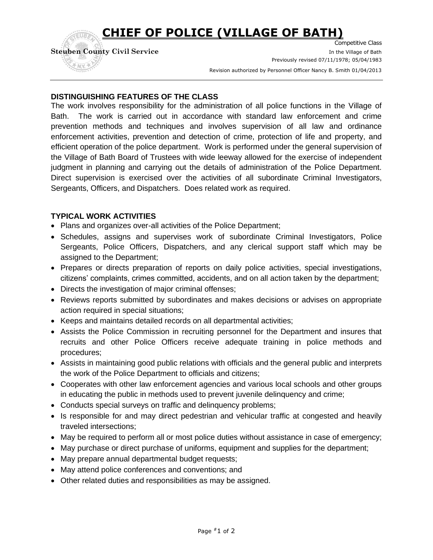## **CHIEF OF POLICE (VILLAGE OF BATH)**

Competitive Class **Steuben County Civil Service In the Village of Bath** In the Village of Bath Previously revised 07/11/1978; 05/04/1983 exision authorized by Personnel Officer Nancy B. Smith 01/04/2013

### **DISTINGUISHING FEATURES OF THE CLASS**

The work involves responsibility for the administration of all police functions in the Village of Bath. The work is carried out in accordance with standard law enforcement and crime prevention methods and techniques and involves supervision of all law and ordinance enforcement activities, prevention and detection of crime, protection of life and property, and efficient operation of the police department. Work is performed under the general supervision of the Village of Bath Board of Trustees with wide leeway allowed for the exercise of independent judgment in planning and carrying out the details of administration of the Police Department. Direct supervision is exercised over the activities of all subordinate Criminal Investigators, Sergeants, Officers, and Dispatchers. Does related work as required.

### **TYPICAL WORK ACTIVITIES**

- Plans and organizes over-all activities of the Police Department;
- Schedules, assigns and supervises work of subordinate Criminal Investigators, Police Sergeants, Police Officers, Dispatchers, and any clerical support staff which may be assigned to the Department;
- Prepares or directs preparation of reports on daily police activities, special investigations, citizens' complaints, crimes committed, accidents, and on all action taken by the department;
- Directs the investigation of major criminal offenses;
- Reviews reports submitted by subordinates and makes decisions or advises on appropriate action required in special situations;
- Keeps and maintains detailed records on all departmental activities;
- Assists the Police Commission in recruiting personnel for the Department and insures that recruits and other Police Officers receive adequate training in police methods and procedures;
- Assists in maintaining good public relations with officials and the general public and interprets the work of the Police Department to officials and citizens;
- Cooperates with other law enforcement agencies and various local schools and other groups in educating the public in methods used to prevent juvenile delinquency and crime;
- Conducts special surveys on traffic and delinquency problems;
- Is responsible for and may direct pedestrian and vehicular traffic at congested and heavily traveled intersections;
- May be required to perform all or most police duties without assistance in case of emergency;
- May purchase or direct purchase of uniforms, equipment and supplies for the department;
- May prepare annual departmental budget requests;
- May attend police conferences and conventions; and
- Other related duties and responsibilities as may be assigned.